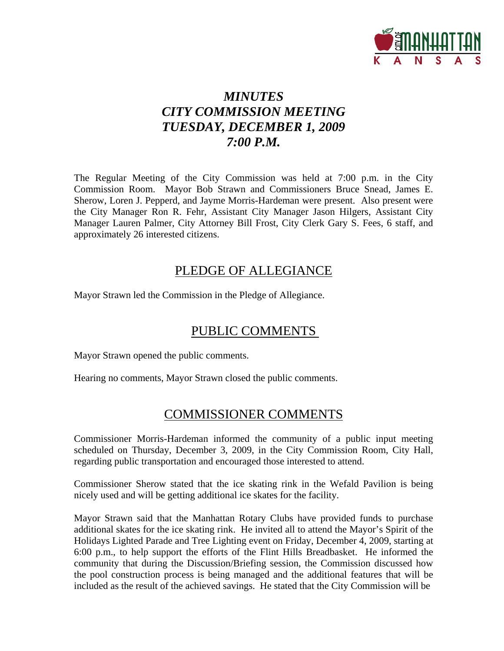

# *MINUTES CITY COMMISSION MEETING TUESDAY, DECEMBER 1, 2009 7:00 P.M.*

The Regular Meeting of the City Commission was held at 7:00 p.m. in the City Commission Room. Mayor Bob Strawn and Commissioners Bruce Snead, James E. Sherow, Loren J. Pepperd, and Jayme Morris-Hardeman were present. Also present were the City Manager Ron R. Fehr, Assistant City Manager Jason Hilgers, Assistant City Manager Lauren Palmer, City Attorney Bill Frost, City Clerk Gary S. Fees, 6 staff, and approximately 26 interested citizens.

### PLEDGE OF ALLEGIANCE

Mayor Strawn led the Commission in the Pledge of Allegiance.

# PUBLIC COMMENTS

Mayor Strawn opened the public comments.

Hearing no comments, Mayor Strawn closed the public comments.

### COMMISSIONER COMMENTS

Commissioner Morris-Hardeman informed the community of a public input meeting scheduled on Thursday, December 3, 2009, in the City Commission Room, City Hall, regarding public transportation and encouraged those interested to attend.

Commissioner Sherow stated that the ice skating rink in the Wefald Pavilion is being nicely used and will be getting additional ice skates for the facility.

Mayor Strawn said that the Manhattan Rotary Clubs have provided funds to purchase additional skates for the ice skating rink. He invited all to attend the Mayor's Spirit of the Holidays Lighted Parade and Tree Lighting event on Friday, December 4, 2009, starting at 6:00 p.m., to help support the efforts of the Flint Hills Breadbasket. He informed the community that during the Discussion/Briefing session, the Commission discussed how the pool construction process is being managed and the additional features that will be included as the result of the achieved savings. He stated that the City Commission will be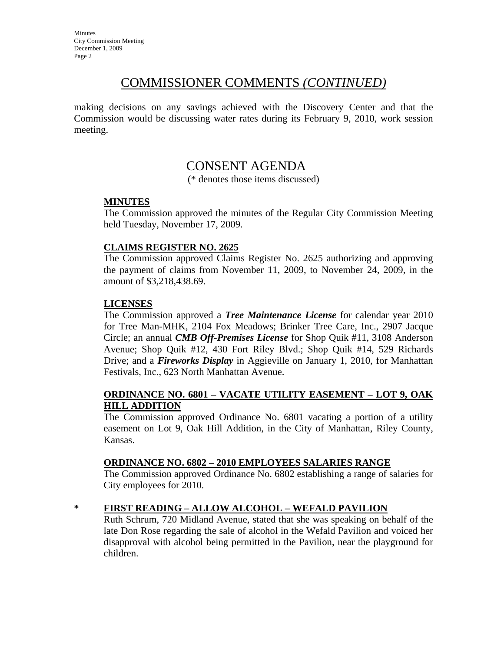### COMMISSIONER COMMENTS *(CONTINUED)*

making decisions on any savings achieved with the Discovery Center and that the Commission would be discussing water rates during its February 9, 2010, work session meeting.

### CONSENT AGENDA

(\* denotes those items discussed)

#### **MINUTES**

The Commission approved the minutes of the Regular City Commission Meeting held Tuesday, November 17, 2009.

#### **CLAIMS REGISTER NO. 2625**

The Commission approved Claims Register No. 2625 authorizing and approving the payment of claims from November 11, 2009, to November 24, 2009, in the amount of \$3,218,438.69.

#### **LICENSES**

The Commission approved a *Tree Maintenance License* for calendar year 2010 for Tree Man-MHK, 2104 Fox Meadows; Brinker Tree Care, Inc., 2907 Jacque Circle; an annual *CMB Off-Premises License* for Shop Quik #11, 3108 Anderson Avenue; Shop Quik #12, 430 Fort Riley Blvd.; Shop Quik #14, 529 Richards Drive; and a *Fireworks Display* in Aggieville on January 1, 2010, for Manhattan Festivals, Inc., 623 North Manhattan Avenue.

#### **ORDINANCE NO. 6801 – VACATE UTILITY EASEMENT – LOT 9, OAK HILL ADDITION**

The Commission approved Ordinance No. 6801 vacating a portion of a utility easement on Lot 9, Oak Hill Addition, in the City of Manhattan, Riley County, Kansas.

#### **ORDINANCE NO. 6802 – 2010 EMPLOYEES SALARIES RANGE**

The Commission approved Ordinance No. 6802 establishing a range of salaries for City employees for 2010.

#### **\* FIRST READING – ALLOW ALCOHOL – WEFALD PAVILION**

Ruth Schrum, 720 Midland Avenue, stated that she was speaking on behalf of the late Don Rose regarding the sale of alcohol in the Wefald Pavilion and voiced her disapproval with alcohol being permitted in the Pavilion, near the playground for children.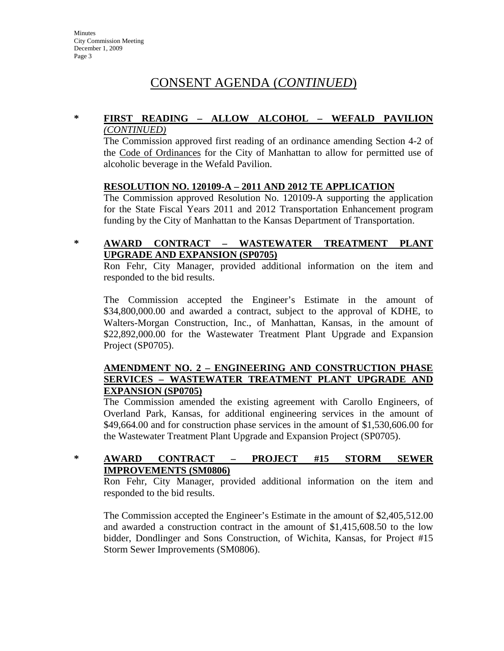# CONSENT AGENDA (*CONTINUED*)

#### **\* FIRST READING – ALLOW ALCOHOL – WEFALD PAVILION** *(CONTINUED)*

The Commission approved first reading of an ordinance amending Section 4-2 of the Code of Ordinances for the City of Manhattan to allow for permitted use of alcoholic beverage in the Wefald Pavilion.

#### **RESOLUTION NO. 120109-A – 2011 AND 2012 TE APPLICATION**

The Commission approved Resolution No. 120109-A supporting the application for the State Fiscal Years 2011 and 2012 Transportation Enhancement program funding by the City of Manhattan to the Kansas Department of Transportation.

#### **\* AWARD CONTRACT – WASTEWATER TREATMENT PLANT UPGRADE AND EXPANSION (SP0705)**

Ron Fehr, City Manager, provided additional information on the item and responded to the bid results.

The Commission accepted the Engineer's Estimate in the amount of \$34,800,000.00 and awarded a contract, subject to the approval of KDHE, to Walters-Morgan Construction, Inc., of Manhattan, Kansas, in the amount of \$22,892,000.00 for the Wastewater Treatment Plant Upgrade and Expansion Project (SP0705).

#### **AMENDMENT NO. 2 – ENGINEERING AND CONSTRUCTION PHASE SERVICES – WASTEWATER TREATMENT PLANT UPGRADE AND EXPANSION (SP0705)**

The Commission amended the existing agreement with Carollo Engineers, of Overland Park, Kansas, for additional engineering services in the amount of \$49,664.00 and for construction phase services in the amount of \$1,530,606.00 for the Wastewater Treatment Plant Upgrade and Expansion Project (SP0705).

#### **\* AWARD CONTRACT – PROJECT #15 STORM SEWER IMPROVEMENTS (SM0806)**

Ron Fehr, City Manager, provided additional information on the item and responded to the bid results.

The Commission accepted the Engineer's Estimate in the amount of \$2,405,512.00 and awarded a construction contract in the amount of \$1,415,608.50 to the low bidder, Dondlinger and Sons Construction, of Wichita, Kansas, for Project #15 Storm Sewer Improvements (SM0806).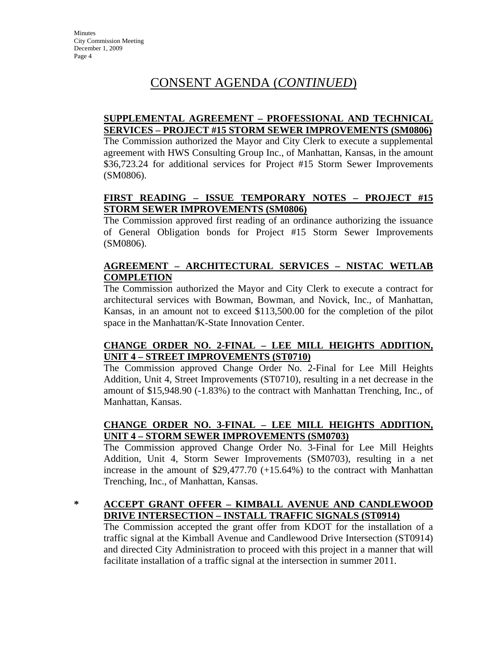# CONSENT AGENDA (*CONTINUED*)

#### **SUPPLEMENTAL AGREEMENT – PROFESSIONAL AND TECHNICAL SERVICES – PROJECT #15 STORM SEWER IMPROVEMENTS (SM0806)**

The Commission authorized the Mayor and City Clerk to execute a supplemental agreement with HWS Consulting Group Inc., of Manhattan, Kansas, in the amount \$36,723.24 for additional services for Project #15 Storm Sewer Improvements (SM0806).

#### **FIRST READING – ISSUE TEMPORARY NOTES – PROJECT #15 STORM SEWER IMPROVEMENTS (SM0806)**

The Commission approved first reading of an ordinance authorizing the issuance of General Obligation bonds for Project #15 Storm Sewer Improvements (SM0806).

#### **AGREEMENT – ARCHITECTURAL SERVICES – NISTAC WETLAB COMPLETION**

The Commission authorized the Mayor and City Clerk to execute a contract for architectural services with Bowman, Bowman, and Novick, Inc., of Manhattan, Kansas, in an amount not to exceed \$113,500.00 for the completion of the pilot space in the Manhattan/K-State Innovation Center.

#### **CHANGE ORDER NO. 2-FINAL – LEE MILL HEIGHTS ADDITION, UNIT 4 – STREET IMPROVEMENTS (ST0710)**

The Commission approved Change Order No. 2-Final for Lee Mill Heights Addition, Unit 4, Street Improvements (ST0710), resulting in a net decrease in the amount of \$15,948.90 (-1.83%) to the contract with Manhattan Trenching, Inc., of Manhattan, Kansas.

### **CHANGE ORDER NO. 3-FINAL – LEE MILL HEIGHTS ADDITION, UNIT 4 – STORM SEWER IMPROVEMENTS (SM0703)**

The Commission approved Change Order No. 3-Final for Lee Mill Heights Addition, Unit 4, Storm Sewer Improvements (SM0703), resulting in a net increase in the amount of \$29,477.70 (+15.64%) to the contract with Manhattan Trenching, Inc., of Manhattan, Kansas.

#### **\* ACCEPT GRANT OFFER – KIMBALL AVENUE AND CANDLEWOOD DRIVE INTERSECTION – INSTALL TRAFFIC SIGNALS (ST0914)**

The Commission accepted the grant offer from KDOT for the installation of a traffic signal at the Kimball Avenue and Candlewood Drive Intersection (ST0914) and directed City Administration to proceed with this project in a manner that will facilitate installation of a traffic signal at the intersection in summer 2011.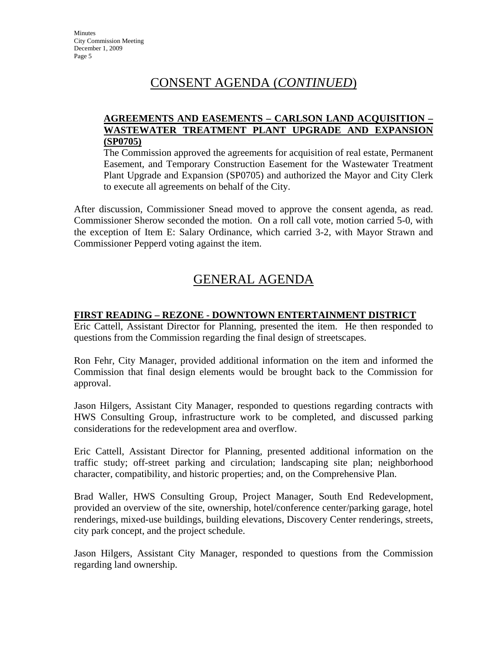## CONSENT AGENDA (*CONTINUED*)

#### **AGREEMENTS AND EASEMENTS – CARLSON LAND ACQUISITION – WASTEWATER TREATMENT PLANT UPGRADE AND EXPANSION (SP0705)**

The Commission approved the agreements for acquisition of real estate, Permanent Easement, and Temporary Construction Easement for the Wastewater Treatment Plant Upgrade and Expansion (SP0705) and authorized the Mayor and City Clerk to execute all agreements on behalf of the City.

After discussion, Commissioner Snead moved to approve the consent agenda, as read. Commissioner Sherow seconded the motion. On a roll call vote, motion carried 5-0, with the exception of Item E: Salary Ordinance, which carried 3-2, with Mayor Strawn and Commissioner Pepperd voting against the item.

# GENERAL AGENDA

#### **FIRST READING – REZONE - DOWNTOWN ENTERTAINMENT DISTRICT**

Eric Cattell, Assistant Director for Planning, presented the item. He then responded to questions from the Commission regarding the final design of streetscapes.

Ron Fehr, City Manager, provided additional information on the item and informed the Commission that final design elements would be brought back to the Commission for approval.

Jason Hilgers, Assistant City Manager, responded to questions regarding contracts with HWS Consulting Group, infrastructure work to be completed, and discussed parking considerations for the redevelopment area and overflow.

Eric Cattell, Assistant Director for Planning, presented additional information on the traffic study; off-street parking and circulation; landscaping site plan; neighborhood character, compatibility, and historic properties; and, on the Comprehensive Plan.

Brad Waller, HWS Consulting Group, Project Manager, South End Redevelopment, provided an overview of the site, ownership, hotel/conference center/parking garage, hotel renderings, mixed-use buildings, building elevations, Discovery Center renderings, streets, city park concept, and the project schedule.

Jason Hilgers, Assistant City Manager, responded to questions from the Commission regarding land ownership.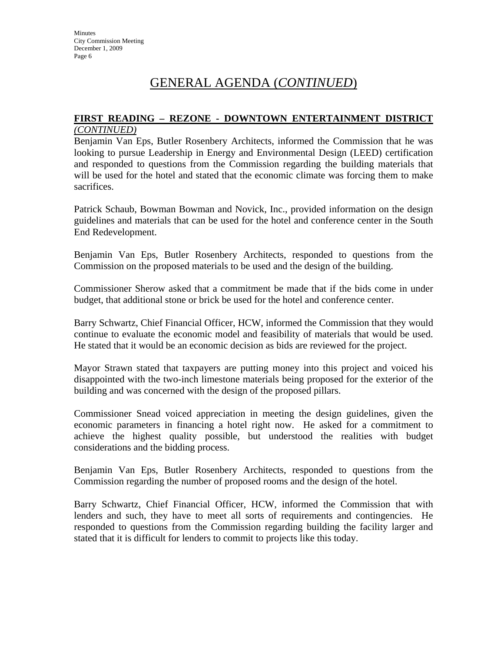#### **FIRST READING – REZONE - DOWNTOWN ENTERTAINMENT DISTRICT** *(CONTINUED)*

Benjamin Van Eps, Butler Rosenbery Architects, informed the Commission that he was looking to pursue Leadership in Energy and Environmental Design (LEED) certification and responded to questions from the Commission regarding the building materials that will be used for the hotel and stated that the economic climate was forcing them to make sacrifices.

Patrick Schaub, Bowman Bowman and Novick, Inc., provided information on the design guidelines and materials that can be used for the hotel and conference center in the South End Redevelopment.

Benjamin Van Eps, Butler Rosenbery Architects, responded to questions from the Commission on the proposed materials to be used and the design of the building.

Commissioner Sherow asked that a commitment be made that if the bids come in under budget, that additional stone or brick be used for the hotel and conference center.

Barry Schwartz, Chief Financial Officer, HCW, informed the Commission that they would continue to evaluate the economic model and feasibility of materials that would be used. He stated that it would be an economic decision as bids are reviewed for the project.

Mayor Strawn stated that taxpayers are putting money into this project and voiced his disappointed with the two-inch limestone materials being proposed for the exterior of the building and was concerned with the design of the proposed pillars.

Commissioner Snead voiced appreciation in meeting the design guidelines, given the economic parameters in financing a hotel right now. He asked for a commitment to achieve the highest quality possible, but understood the realities with budget considerations and the bidding process.

Benjamin Van Eps, Butler Rosenbery Architects, responded to questions from the Commission regarding the number of proposed rooms and the design of the hotel.

Barry Schwartz, Chief Financial Officer, HCW, informed the Commission that with lenders and such, they have to meet all sorts of requirements and contingencies. He responded to questions from the Commission regarding building the facility larger and stated that it is difficult for lenders to commit to projects like this today.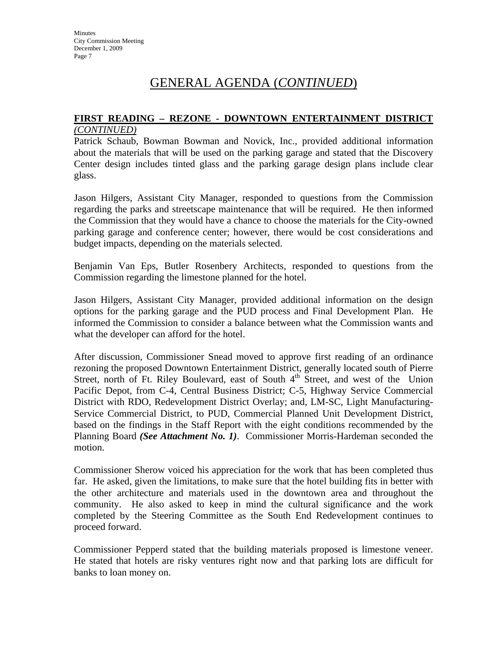# **FIRST READING – REZONE - DOWNTOWN ENTERTAINMENT DISTRICT**

*(CONTINUED)*

Patrick Schaub, Bowman Bowman and Novick, Inc., provided additional information about the materials that will be used on the parking garage and stated that the Discovery Center design includes tinted glass and the parking garage design plans include clear glass.

Jason Hilgers, Assistant City Manager, responded to questions from the Commission regarding the parks and streetscape maintenance that will be required. He then informed the Commission that they would have a chance to choose the materials for the City-owned parking garage and conference center; however, there would be cost considerations and budget impacts, depending on the materials selected.

Benjamin Van Eps, Butler Rosenbery Architects, responded to questions from the Commission regarding the limestone planned for the hotel.

Jason Hilgers, Assistant City Manager, provided additional information on the design options for the parking garage and the PUD process and Final Development Plan. He informed the Commission to consider a balance between what the Commission wants and what the developer can afford for the hotel.

After discussion, Commissioner Snead moved to approve first reading of an ordinance rezoning the proposed Downtown Entertainment District, generally located south of Pierre Street, north of Ft. Riley Boulevard, east of South  $4<sup>th</sup>$  Street, and west of the Union Pacific Depot, from C-4, Central Business District; C-5, Highway Service Commercial District with RDO, Redevelopment District Overlay; and, LM-SC, Light Manufacturing-Service Commercial District, to PUD, Commercial Planned Unit Development District, based on the findings in the Staff Report with the eight conditions recommended by the Planning Board *(See Attachment No. 1)*. Commissioner Morris-Hardeman seconded the motion.

Commissioner Sherow voiced his appreciation for the work that has been completed thus far. He asked, given the limitations, to make sure that the hotel building fits in better with the other architecture and materials used in the downtown area and throughout the community. He also asked to keep in mind the cultural significance and the work completed by the Steering Committee as the South End Redevelopment continues to proceed forward.

Commissioner Pepperd stated that the building materials proposed is limestone veneer. He stated that hotels are risky ventures right now and that parking lots are difficult for banks to loan money on.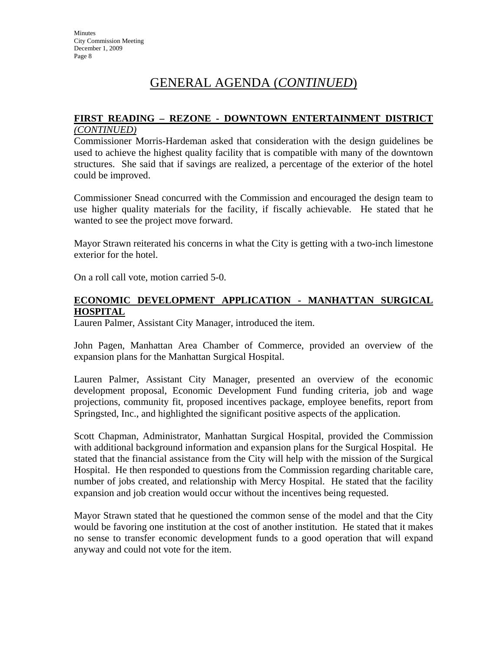#### **FIRST READING – REZONE - DOWNTOWN ENTERTAINMENT DISTRICT** *(CONTINUED)*

Commissioner Morris-Hardeman asked that consideration with the design guidelines be used to achieve the highest quality facility that is compatible with many of the downtown structures. She said that if savings are realized, a percentage of the exterior of the hotel could be improved.

Commissioner Snead concurred with the Commission and encouraged the design team to use higher quality materials for the facility, if fiscally achievable. He stated that he wanted to see the project move forward.

Mayor Strawn reiterated his concerns in what the City is getting with a two-inch limestone exterior for the hotel.

On a roll call vote, motion carried 5-0.

#### **ECONOMIC DEVELOPMENT APPLICATION - MANHATTAN SURGICAL HOSPITAL**

Lauren Palmer, Assistant City Manager, introduced the item.

John Pagen, Manhattan Area Chamber of Commerce, provided an overview of the expansion plans for the Manhattan Surgical Hospital.

Lauren Palmer, Assistant City Manager, presented an overview of the economic development proposal, Economic Development Fund funding criteria, job and wage projections, community fit, proposed incentives package, employee benefits, report from Springsted, Inc., and highlighted the significant positive aspects of the application.

Scott Chapman, Administrator, Manhattan Surgical Hospital, provided the Commission with additional background information and expansion plans for the Surgical Hospital. He stated that the financial assistance from the City will help with the mission of the Surgical Hospital. He then responded to questions from the Commission regarding charitable care, number of jobs created, and relationship with Mercy Hospital. He stated that the facility expansion and job creation would occur without the incentives being requested.

Mayor Strawn stated that he questioned the common sense of the model and that the City would be favoring one institution at the cost of another institution. He stated that it makes no sense to transfer economic development funds to a good operation that will expand anyway and could not vote for the item.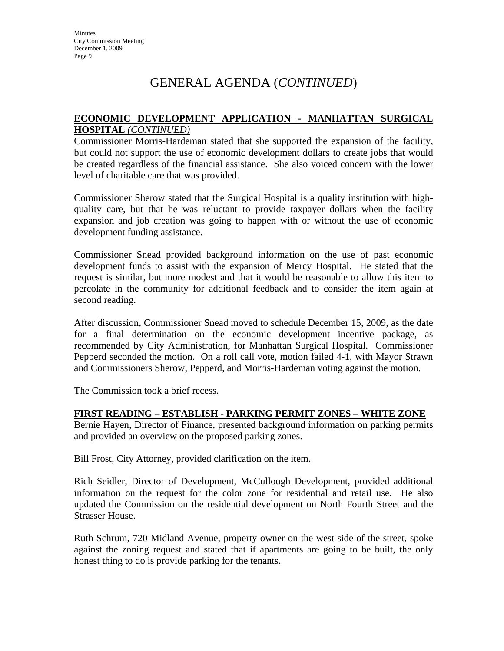#### **ECONOMIC DEVELOPMENT APPLICATION - MANHATTAN SURGICAL HOSPITAL** *(CONTINUED)*

Commissioner Morris-Hardeman stated that she supported the expansion of the facility, but could not support the use of economic development dollars to create jobs that would be created regardless of the financial assistance. She also voiced concern with the lower level of charitable care that was provided.

Commissioner Sherow stated that the Surgical Hospital is a quality institution with highquality care, but that he was reluctant to provide taxpayer dollars when the facility expansion and job creation was going to happen with or without the use of economic development funding assistance.

Commissioner Snead provided background information on the use of past economic development funds to assist with the expansion of Mercy Hospital. He stated that the request is similar, but more modest and that it would be reasonable to allow this item to percolate in the community for additional feedback and to consider the item again at second reading.

After discussion, Commissioner Snead moved to schedule December 15, 2009, as the date for a final determination on the economic development incentive package, as recommended by City Administration, for Manhattan Surgical Hospital. Commissioner Pepperd seconded the motion. On a roll call vote, motion failed 4-1, with Mayor Strawn and Commissioners Sherow, Pepperd, and Morris-Hardeman voting against the motion.

The Commission took a brief recess.

#### **FIRST READING – ESTABLISH - PARKING PERMIT ZONES – WHITE ZONE**

Bernie Hayen, Director of Finance, presented background information on parking permits and provided an overview on the proposed parking zones.

Bill Frost, City Attorney, provided clarification on the item.

Rich Seidler, Director of Development, McCullough Development, provided additional information on the request for the color zone for residential and retail use. He also updated the Commission on the residential development on North Fourth Street and the Strasser House.

Ruth Schrum, 720 Midland Avenue, property owner on the west side of the street, spoke against the zoning request and stated that if apartments are going to be built, the only honest thing to do is provide parking for the tenants.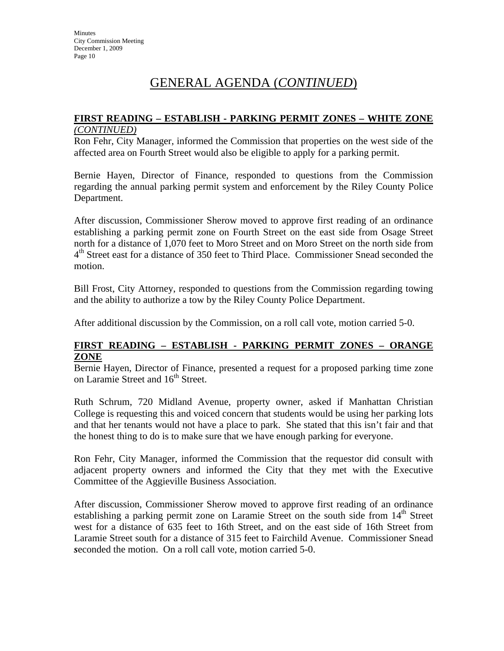#### **FIRST READING – ESTABLISH - PARKING PERMIT ZONES – WHITE ZONE**  *(CONTINUED)*

Ron Fehr, City Manager, informed the Commission that properties on the west side of the affected area on Fourth Street would also be eligible to apply for a parking permit.

Bernie Hayen, Director of Finance, responded to questions from the Commission regarding the annual parking permit system and enforcement by the Riley County Police Department.

After discussion, Commissioner Sherow moved to approve first reading of an ordinance establishing a parking permit zone on Fourth Street on the east side from Osage Street north for a distance of 1,070 feet to Moro Street and on Moro Street on the north side from  $4<sup>th</sup>$  Street east for a distance of 350 feet to Third Place. Commissioner Snead seconded the motion.

Bill Frost, City Attorney, responded to questions from the Commission regarding towing and the ability to authorize a tow by the Riley County Police Department.

After additional discussion by the Commission, on a roll call vote, motion carried 5-0.

#### **FIRST READING – ESTABLISH - PARKING PERMIT ZONES – ORANGE ZONE**

Bernie Hayen, Director of Finance, presented a request for a proposed parking time zone on Laramie Street and 16<sup>th</sup> Street.

Ruth Schrum, 720 Midland Avenue, property owner, asked if Manhattan Christian College is requesting this and voiced concern that students would be using her parking lots and that her tenants would not have a place to park. She stated that this isn't fair and that the honest thing to do is to make sure that we have enough parking for everyone.

Ron Fehr, City Manager, informed the Commission that the requestor did consult with adjacent property owners and informed the City that they met with the Executive Committee of the Aggieville Business Association.

After discussion, Commissioner Sherow moved to approve first reading of an ordinance establishing a parking permit zone on Laramie Street on the south side from  $14<sup>th</sup>$  Street west for a distance of 635 feet to 16th Street, and on the east side of 16th Street from Laramie Street south for a distance of 315 feet to Fairchild Avenue. Commissioner Snead *s*econded the motion. On a roll call vote, motion carried 5-0.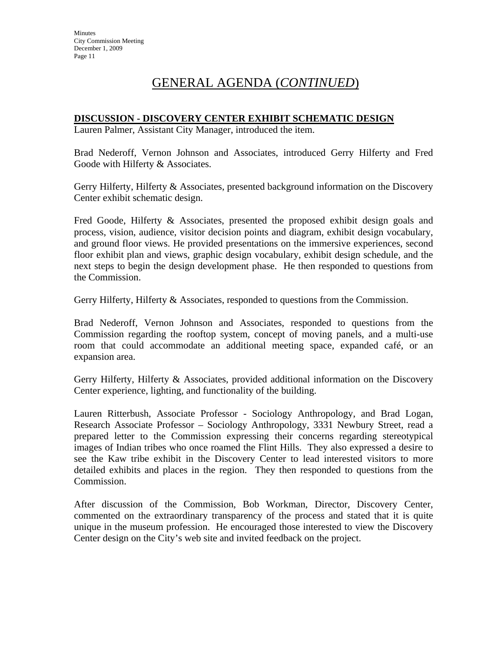#### **DISCUSSION - DISCOVERY CENTER EXHIBIT SCHEMATIC DESIGN**

Lauren Palmer, Assistant City Manager, introduced the item.

Brad Nederoff, Vernon Johnson and Associates, introduced Gerry Hilferty and Fred Goode with Hilferty & Associates.

Gerry Hilferty, Hilferty & Associates, presented background information on the Discovery Center exhibit schematic design.

Fred Goode, Hilferty & Associates, presented the proposed exhibit design goals and process, vision, audience, visitor decision points and diagram, exhibit design vocabulary, and ground floor views. He provided presentations on the immersive experiences, second floor exhibit plan and views, graphic design vocabulary, exhibit design schedule, and the next steps to begin the design development phase. He then responded to questions from the Commission.

Gerry Hilferty, Hilferty & Associates, responded to questions from the Commission.

Brad Nederoff, Vernon Johnson and Associates, responded to questions from the Commission regarding the rooftop system, concept of moving panels, and a multi-use room that could accommodate an additional meeting space, expanded café, or an expansion area.

Gerry Hilferty, Hilferty & Associates, provided additional information on the Discovery Center experience, lighting, and functionality of the building.

Lauren Ritterbush, Associate Professor - Sociology Anthropology, and Brad Logan, Research Associate Professor – Sociology Anthropology, 3331 Newbury Street, read a prepared letter to the Commission expressing their concerns regarding stereotypical images of Indian tribes who once roamed the Flint Hills. They also expressed a desire to see the Kaw tribe exhibit in the Discovery Center to lead interested visitors to more detailed exhibits and places in the region. They then responded to questions from the Commission.

After discussion of the Commission, Bob Workman, Director, Discovery Center, commented on the extraordinary transparency of the process and stated that it is quite unique in the museum profession. He encouraged those interested to view the Discovery Center design on the City's web site and invited feedback on the project.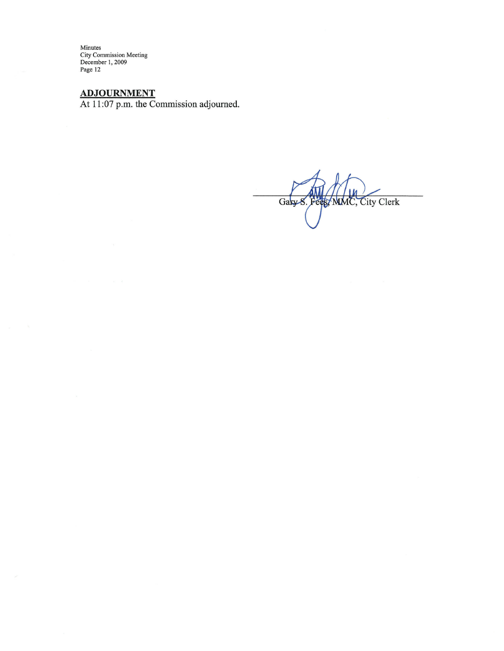$ADJOURNMENT$ <br>At 11:07 p.m. the Commission adjourned.

Gasy S. Fees, MMC, City Clerk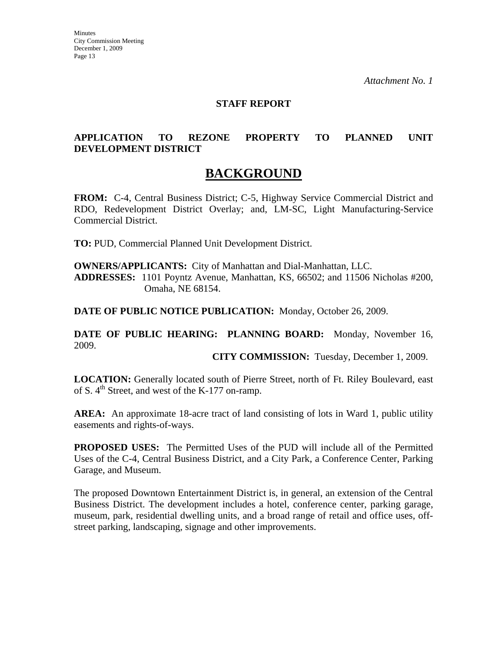#### **STAFF REPORT**

#### **APPLICATION TO REZONE PROPERTY TO PLANNED UNIT DEVELOPMENT DISTRICT**

### **BACKGROUND**

**FROM:** C-4, Central Business District; C-5, Highway Service Commercial District and RDO, Redevelopment District Overlay; and, LM-SC, Light Manufacturing-Service Commercial District.

**TO:** PUD, Commercial Planned Unit Development District.

**OWNERS/APPLICANTS:** City of Manhattan and Dial-Manhattan, LLC. **ADDRESSES:** 1101 Poyntz Avenue, Manhattan, KS, 66502; and 11506 Nicholas #200, Omaha, NE 68154.

**DATE OF PUBLIC NOTICE PUBLICATION:** Monday, October 26, 2009.

**DATE OF PUBLIC HEARING: PLANNING BOARD:** Monday, November 16, 2009.

**CITY COMMISSION:** Tuesday, December 1, 2009.

**LOCATION:** Generally located south of Pierre Street, north of Ft. Riley Boulevard, east of S.  $4<sup>th</sup>$  Street, and west of the K-177 on-ramp.

**AREA:** An approximate 18-acre tract of land consisting of lots in Ward 1, public utility easements and rights-of-ways.

**PROPOSED USES:** The Permitted Uses of the PUD will include all of the Permitted Uses of the C-4, Central Business District, and a City Park, a Conference Center, Parking Garage, and Museum.

The proposed Downtown Entertainment District is, in general, an extension of the Central Business District. The development includes a hotel, conference center, parking garage, museum, park, residential dwelling units, and a broad range of retail and office uses, offstreet parking, landscaping, signage and other improvements.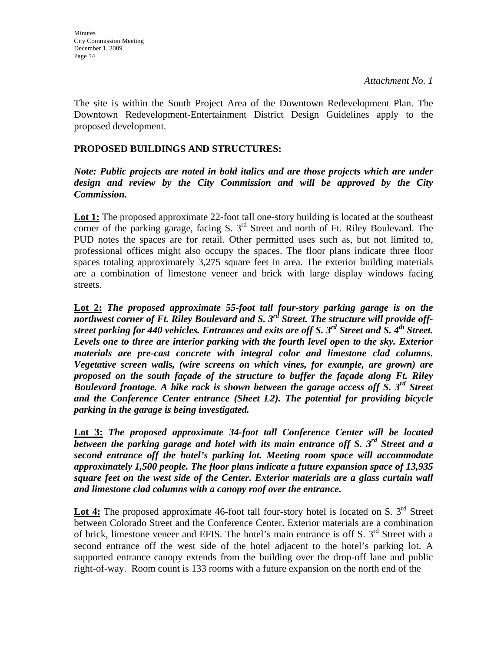The site is within the South Project Area of the Downtown Redevelopment Plan. The Downtown Redevelopment-Entertainment District Design Guidelines apply to the proposed development.

#### **PROPOSED BUILDINGS AND STRUCTURES:**

#### *Note: Public projects are noted in bold italics and are those projects which are under design and review by the City Commission and will be approved by the City Commission.*

**Lot 1:** The proposed approximate 22-foot tall one-story building is located at the southeast corner of the parking garage, facing S.  $3<sup>rd</sup>$  Street and north of Ft. Riley Boulevard. The PUD notes the spaces are for retail. Other permitted uses such as, but not limited to, professional offices might also occupy the spaces. The floor plans indicate three floor spaces totaling approximately 3,275 square feet in area. The exterior building materials are a combination of limestone veneer and brick with large display windows facing streets.

**Lot 2:** *The proposed approximate 55-foot tall four-story parking garage is on the northwest corner of Ft. Riley Boulevard and S. 3rd Street. The structure will provide offstreet parking for 440 vehicles. Entrances and exits are off S. 3rd Street and S. 4th Street. Levels one to three are interior parking with the fourth level open to the sky. Exterior materials are pre-cast concrete with integral color and limestone clad columns. Vegetative screen walls, (wire screens on which vines, for example, are grown) are proposed on the south façade of the structure to buffer the façade along Ft. Riley Boulevard frontage. A bike rack is shown between the garage access off S. 3rd Street and the Conference Center entrance (Sheet L2). The potential for providing bicycle parking in the garage is being investigated.* 

**Lot 3:** *The proposed approximate 34-foot tall Conference Center will be located between the parking garage and hotel with its main entrance off S. 3rd Street and a second entrance off the hotel's parking lot. Meeting room space will accommodate approximately 1,500 people. The floor plans indicate a future expansion space of 13,935 square feet on the west side of the Center. Exterior materials are a glass curtain wall and limestone clad columns with a canopy roof over the entrance.* 

Lot 4: The proposed approximate 46-foot tall four-story hotel is located on S. 3<sup>rd</sup> Street between Colorado Street and the Conference Center. Exterior materials are a combination of brick, limestone veneer and EFIS. The hotel's main entrance is off S.  $3<sup>rd</sup>$  Street with a second entrance off the west side of the hotel adjacent to the hotel's parking lot. A supported entrance canopy extends from the building over the drop-off lane and public right-of-way. Room count is 133 rooms with a future expansion on the north end of the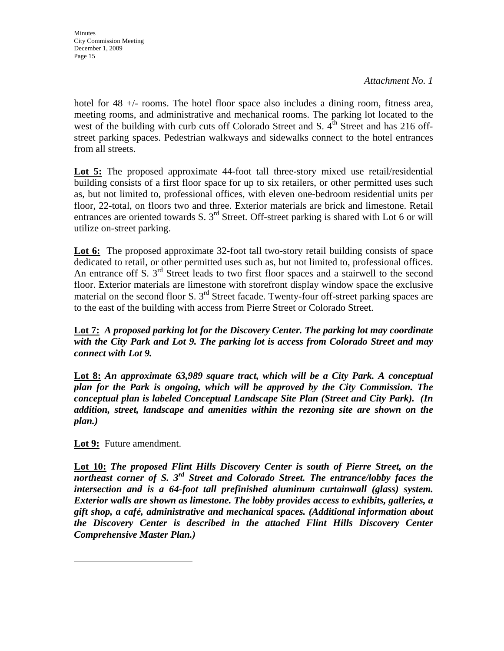*Attachment No. 1* 

hotel for 48  $+/-$  rooms. The hotel floor space also includes a dining room, fitness area, meeting rooms, and administrative and mechanical rooms. The parking lot located to the west of the building with curb cuts off Colorado Street and S.  $4^{\text{th}}$  Street and has 216 offstreet parking spaces. Pedestrian walkways and sidewalks connect to the hotel entrances from all streets.

Lot 5: The proposed approximate 44-foot tall three-story mixed use retail/residential building consists of a first floor space for up to six retailers, or other permitted uses such as, but not limited to, professional offices, with eleven one-bedroom residential units per floor, 22-total, on floors two and three. Exterior materials are brick and limestone. Retail entrances are oriented towards S. 3<sup>rd</sup> Street. Off-street parking is shared with Lot 6 or will utilize on-street parking.

Lot 6: The proposed approximate 32-foot tall two-story retail building consists of space dedicated to retail, or other permitted uses such as, but not limited to, professional offices. An entrance off S.  $3<sup>rd</sup>$  Street leads to two first floor spaces and a stairwell to the second floor. Exterior materials are limestone with storefront display window space the exclusive material on the second floor S.  $3<sup>rd</sup>$  Street facade. Twenty-four off-street parking spaces are to the east of the building with access from Pierre Street or Colorado Street.

**Lot 7:** *A proposed parking lot for the Discovery Center. The parking lot may coordinate with the City Park and Lot 9. The parking lot is access from Colorado Street and may connect with Lot 9.* 

**Lot 8:** *An approximate 63,989 square tract, which will be a City Park. A conceptual plan for the Park is ongoing, which will be approved by the City Commission. The conceptual plan is labeled Conceptual Landscape Site Plan (Street and City Park). (In addition, street, landscape and amenities within the rezoning site are shown on the plan.)*

**Lot 9:** Future amendment.

**Lot 10:** *The proposed Flint Hills Discovery Center is south of Pierre Street, on the northeast corner of S. 3rd Street and Colorado Street. The entrance/lobby faces the intersection and is a 64-foot tall prefinished aluminum curtainwall (glass) system. Exterior walls are shown as limestone. The lobby provides access to exhibits, galleries, a gift shop, a café, administrative and mechanical spaces. (Additional information about the Discovery Center is described in the attached Flint Hills Discovery Center Comprehensive Master Plan.)*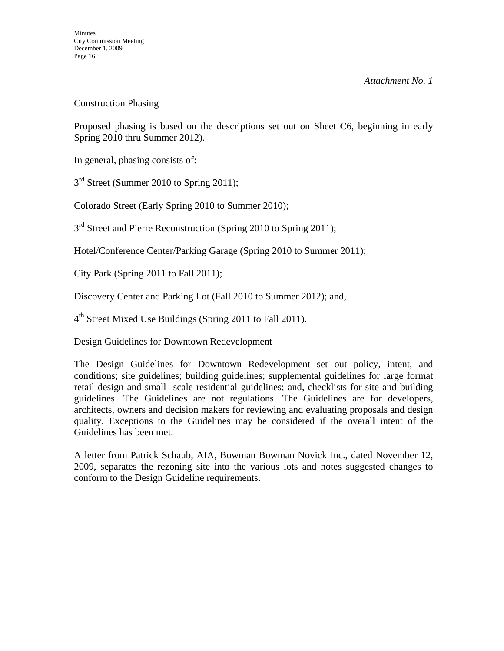#### Construction Phasing

Proposed phasing is based on the descriptions set out on Sheet C6, beginning in early Spring 2010 thru Summer 2012).

In general, phasing consists of:

3<sup>rd</sup> Street (Summer 2010 to Spring 2011);

Colorado Street (Early Spring 2010 to Summer 2010);

3<sup>rd</sup> Street and Pierre Reconstruction (Spring 2010 to Spring 2011);

Hotel/Conference Center/Parking Garage (Spring 2010 to Summer 2011);

City Park (Spring 2011 to Fall 2011);

Discovery Center and Parking Lot (Fall 2010 to Summer 2012); and,

4<sup>th</sup> Street Mixed Use Buildings (Spring 2011 to Fall 2011).

#### Design Guidelines for Downtown Redevelopment

The Design Guidelines for Downtown Redevelopment set out policy, intent, and conditions; site guidelines; building guidelines; supplemental guidelines for large format retail design and small scale residential guidelines; and, checklists for site and building guidelines. The Guidelines are not regulations. The Guidelines are for developers, architects, owners and decision makers for reviewing and evaluating proposals and design quality. Exceptions to the Guidelines may be considered if the overall intent of the Guidelines has been met.

A letter from Patrick Schaub, AIA, Bowman Bowman Novick Inc., dated November 12, 2009, separates the rezoning site into the various lots and notes suggested changes to conform to the Design Guideline requirements.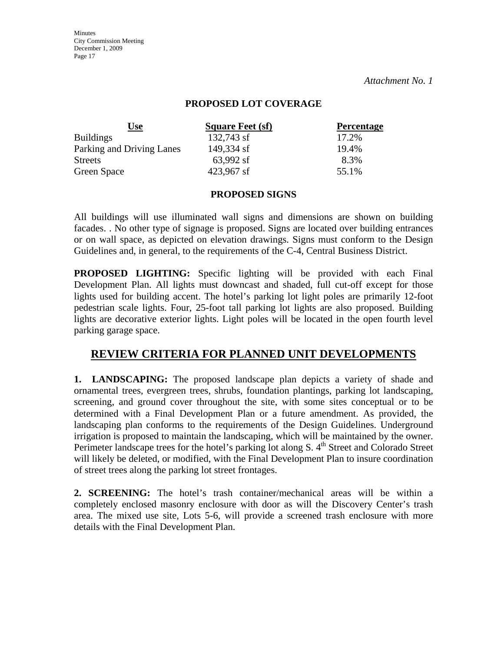#### **PROPOSED LOT COVERAGE**

| <u>Use</u>                | <b>Square Feet (sf)</b> | <b>Percentage</b> |
|---------------------------|-------------------------|-------------------|
| <b>Buildings</b>          | 132,743 sf              | 17.2%             |
| Parking and Driving Lanes | 149,334 sf              | 19.4%             |
| <b>Streets</b>            | 63,992 sf               | 8.3%              |
| Green Space               | 423,967 sf              | 55.1%             |

#### **PROPOSED SIGNS**

All buildings will use illuminated wall signs and dimensions are shown on building facades. . No other type of signage is proposed. Signs are located over building entrances or on wall space, as depicted on elevation drawings. Signs must conform to the Design Guidelines and, in general, to the requirements of the C-4, Central Business District.

**PROPOSED LIGHTING:** Specific lighting will be provided with each Final Development Plan. All lights must downcast and shaded, full cut-off except for those lights used for building accent. The hotel's parking lot light poles are primarily 12-foot pedestrian scale lights. Four, 25-foot tall parking lot lights are also proposed. Building lights are decorative exterior lights. Light poles will be located in the open fourth level parking garage space.

### **REVIEW CRITERIA FOR PLANNED UNIT DEVELOPMENTS**

**1. LANDSCAPING:** The proposed landscape plan depicts a variety of shade and ornamental trees, evergreen trees, shrubs, foundation plantings, parking lot landscaping, screening, and ground cover throughout the site, with some sites conceptual or to be determined with a Final Development Plan or a future amendment. As provided, the landscaping plan conforms to the requirements of the Design Guidelines. Underground irrigation is proposed to maintain the landscaping, which will be maintained by the owner. Perimeter landscape trees for the hotel's parking lot along S. 4<sup>th</sup> Street and Colorado Street will likely be deleted, or modified, with the Final Development Plan to insure coordination of street trees along the parking lot street frontages.

**2. SCREENING:** The hotel's trash container/mechanical areas will be within a completely enclosed masonry enclosure with door as will the Discovery Center's trash area. The mixed use site, Lots 5-6, will provide a screened trash enclosure with more details with the Final Development Plan.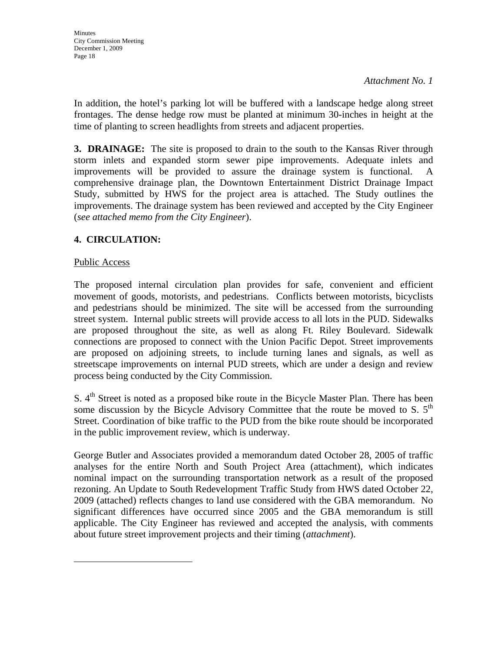In addition, the hotel's parking lot will be buffered with a landscape hedge along street frontages. The dense hedge row must be planted at minimum 30-inches in height at the time of planting to screen headlights from streets and adjacent properties.

**3. DRAINAGE:** The site is proposed to drain to the south to the Kansas River through storm inlets and expanded storm sewer pipe improvements. Adequate inlets and improvements will be provided to assure the drainage system is functional. comprehensive drainage plan, the Downtown Entertainment District Drainage Impact Study, submitted by HWS for the project area is attached. The Study outlines the improvements. The drainage system has been reviewed and accepted by the City Engineer (*see attached memo from the City Engineer*).

### **4. CIRCULATION:**

#### Public Access

The proposed internal circulation plan provides for safe, convenient and efficient movement of goods, motorists, and pedestrians. Conflicts between motorists, bicyclists and pedestrians should be minimized. The site will be accessed from the surrounding street system. Internal public streets will provide access to all lots in the PUD. Sidewalks are proposed throughout the site, as well as along Ft. Riley Boulevard. Sidewalk connections are proposed to connect with the Union Pacific Depot. Street improvements are proposed on adjoining streets, to include turning lanes and signals, as well as streetscape improvements on internal PUD streets, which are under a design and review process being conducted by the City Commission.

S. 4<sup>th</sup> Street is noted as a proposed bike route in the Bicycle Master Plan. There has been some discussion by the Bicycle Advisory Committee that the route be moved to S.  $5<sup>th</sup>$ Street. Coordination of bike traffic to the PUD from the bike route should be incorporated in the public improvement review, which is underway.

George Butler and Associates provided a memorandum dated October 28, 2005 of traffic analyses for the entire North and South Project Area (attachment), which indicates nominal impact on the surrounding transportation network as a result of the proposed rezoning. An Update to South Redevelopment Traffic Study from HWS dated October 22, 2009 (attached) reflects changes to land use considered with the GBA memorandum. No significant differences have occurred since 2005 and the GBA memorandum is still applicable. The City Engineer has reviewed and accepted the analysis, with comments about future street improvement projects and their timing (*attachment*).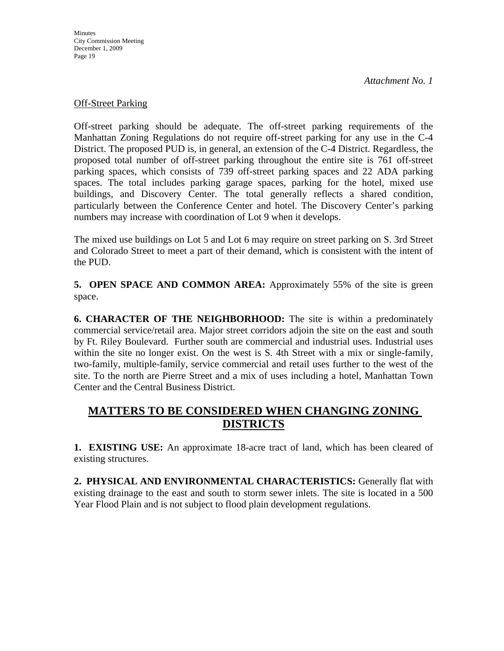#### **Off-Street Parking**

Off-street parking should be adequate. The off-street parking requirements of the Manhattan Zoning Regulations do not require off-street parking for any use in the C-4 District. The proposed PUD is, in general, an extension of the C-4 District. Regardless, the proposed total number of off-street parking throughout the entire site is 761 off-street parking spaces, which consists of 739 off-street parking spaces and 22 ADA parking spaces. The total includes parking garage spaces, parking for the hotel, mixed use buildings, and Discovery Center. The total generally reflects a shared condition, particularly between the Conference Center and hotel. The Discovery Center's parking numbers may increase with coordination of Lot 9 when it develops.

The mixed use buildings on Lot 5 and Lot 6 may require on street parking on S. 3rd Street and Colorado Street to meet a part of their demand, which is consistent with the intent of the PUD.

**5. OPEN SPACE AND COMMON AREA:** Approximately 55% of the site is green space.

**6. CHARACTER OF THE NEIGHBORHOOD:** The site is within a predominately commercial service/retail area. Major street corridors adjoin the site on the east and south by Ft. Riley Boulevard. Further south are commercial and industrial uses. Industrial uses within the site no longer exist. On the west is S. 4th Street with a mix or single-family, two-family, multiple-family, service commercial and retail uses further to the west of the site. To the north are Pierre Street and a mix of uses including a hotel, Manhattan Town Center and the Central Business District.

### **MATTERS TO BE CONSIDERED WHEN CHANGING ZONING DISTRICTS**

**1. EXISTING USE:** An approximate 18-acre tract of land, which has been cleared of existing structures.

**2. PHYSICAL AND ENVIRONMENTAL CHARACTERISTICS:** Generally flat with existing drainage to the east and south to storm sewer inlets. The site is located in a 500 Year Flood Plain and is not subject to flood plain development regulations.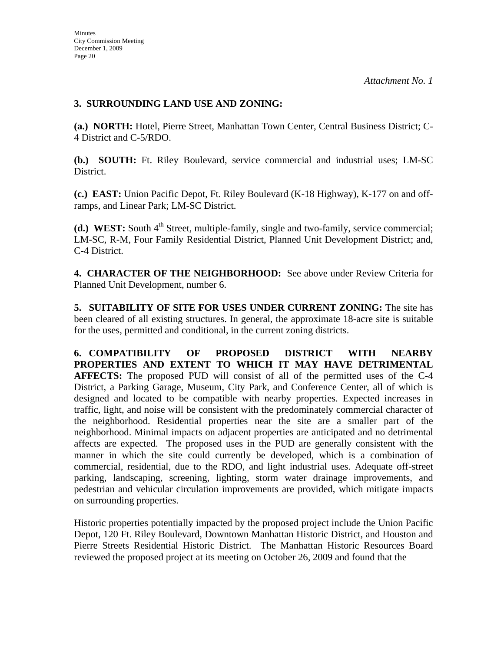#### **3. SURROUNDING LAND USE AND ZONING:**

**(a.) NORTH:** Hotel, Pierre Street, Manhattan Town Center, Central Business District; C-4 District and C-5/RDO.

**(b.) SOUTH:** Ft. Riley Boulevard, service commercial and industrial uses; LM-SC District.

**(c.) EAST:** Union Pacific Depot, Ft. Riley Boulevard (K-18 Highway), K-177 on and offramps, and Linear Park; LM-SC District.

**(d.) WEST:** South 4<sup>th</sup> Street, multiple-family, single and two-family, service commercial; LM-SC, R-M, Four Family Residential District, Planned Unit Development District; and, C-4 District.

**4. CHARACTER OF THE NEIGHBORHOOD:** See above under Review Criteria for Planned Unit Development, number 6.

**5. SUITABILITY OF SITE FOR USES UNDER CURRENT ZONING:** The site has been cleared of all existing structures. In general, the approximate 18-acre site is suitable for the uses, permitted and conditional, in the current zoning districts.

**6. COMPATIBILITY OF PROPOSED DISTRICT WITH NEARBY PROPERTIES AND EXTENT TO WHICH IT MAY HAVE DETRIMENTAL AFFECTS:** The proposed PUD will consist of all of the permitted uses of the C-4 District, a Parking Garage, Museum, City Park, and Conference Center, all of which is designed and located to be compatible with nearby properties. Expected increases in traffic, light, and noise will be consistent with the predominately commercial character of the neighborhood. Residential properties near the site are a smaller part of the neighborhood. Minimal impacts on adjacent properties are anticipated and no detrimental affects are expected. The proposed uses in the PUD are generally consistent with the manner in which the site could currently be developed, which is a combination of commercial, residential, due to the RDO, and light industrial uses. Adequate off-street parking, landscaping, screening, lighting, storm water drainage improvements, and pedestrian and vehicular circulation improvements are provided, which mitigate impacts on surrounding properties.

Historic properties potentially impacted by the proposed project include the Union Pacific Depot, 120 Ft. Riley Boulevard, Downtown Manhattan Historic District, and Houston and Pierre Streets Residential Historic District. The Manhattan Historic Resources Board reviewed the proposed project at its meeting on October 26, 2009 and found that the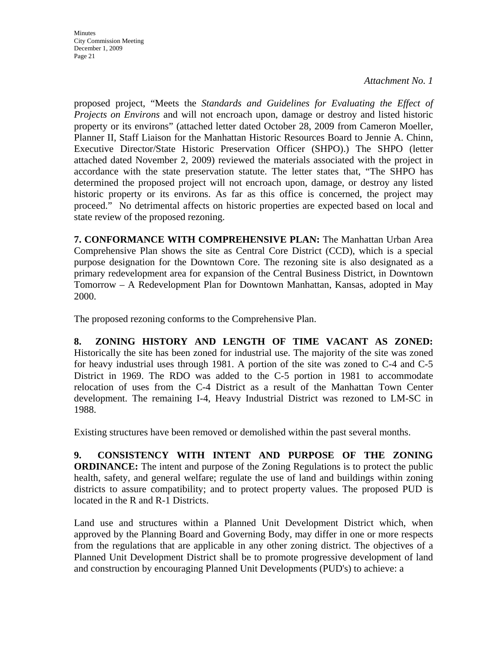*Attachment No. 1* 

proposed project, "Meets the *Standards and Guidelines for Evaluating the Effect of Projects on Environs* and will not encroach upon, damage or destroy and listed historic property or its environs" (attached letter dated October 28, 2009 from Cameron Moeller, Planner II, Staff Liaison for the Manhattan Historic Resources Board to Jennie A. Chinn, Executive Director/State Historic Preservation Officer (SHPO).) The SHPO (letter attached dated November 2, 2009) reviewed the materials associated with the project in accordance with the state preservation statute. The letter states that, "The SHPO has determined the proposed project will not encroach upon, damage, or destroy any listed historic property or its environs. As far as this office is concerned, the project may proceed." No detrimental affects on historic properties are expected based on local and state review of the proposed rezoning.

**7. CONFORMANCE WITH COMPREHENSIVE PLAN:** The Manhattan Urban Area Comprehensive Plan shows the site as Central Core District (CCD), which is a special purpose designation for the Downtown Core. The rezoning site is also designated as a primary redevelopment area for expansion of the Central Business District, in Downtown Tomorrow – A Redevelopment Plan for Downtown Manhattan, Kansas, adopted in May 2000.

The proposed rezoning conforms to the Comprehensive Plan.

**8. ZONING HISTORY AND LENGTH OF TIME VACANT AS ZONED:** Historically the site has been zoned for industrial use. The majority of the site was zoned for heavy industrial uses through 1981. A portion of the site was zoned to C-4 and C-5 District in 1969. The RDO was added to the C-5 portion in 1981 to accommodate relocation of uses from the C-4 District as a result of the Manhattan Town Center development. The remaining I-4, Heavy Industrial District was rezoned to LM-SC in 1988.

Existing structures have been removed or demolished within the past several months.

**9. CONSISTENCY WITH INTENT AND PURPOSE OF THE ZONING ORDINANCE:** The intent and purpose of the Zoning Regulations is to protect the public health, safety, and general welfare; regulate the use of land and buildings within zoning districts to assure compatibility; and to protect property values. The proposed PUD is located in the R and R-1 Districts.

Land use and structures within a Planned Unit Development District which, when approved by the Planning Board and Governing Body, may differ in one or more respects from the regulations that are applicable in any other zoning district. The objectives of a Planned Unit Development District shall be to promote progressive development of land and construction by encouraging Planned Unit Developments (PUD's) to achieve: a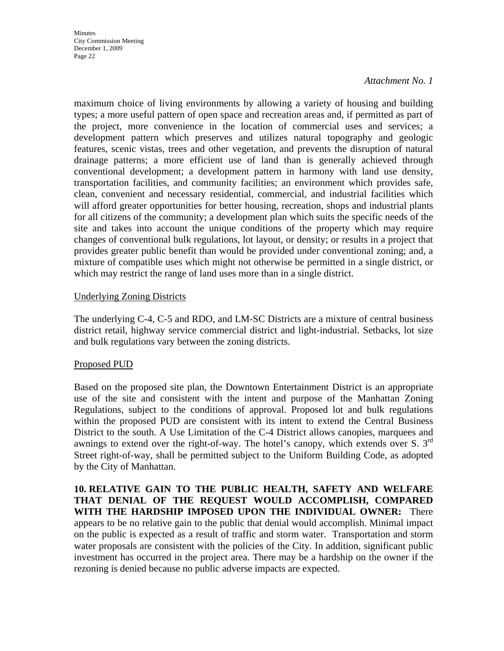#### *Attachment No. 1*

maximum choice of living environments by allowing a variety of housing and building types; a more useful pattern of open space and recreation areas and, if permitted as part of the project, more convenience in the location of commercial uses and services; a development pattern which preserves and utilizes natural topography and geologic features, scenic vistas, trees and other vegetation, and prevents the disruption of natural drainage patterns; a more efficient use of land than is generally achieved through conventional development; a development pattern in harmony with land use density, transportation facilities, and community facilities; an environment which provides safe, clean, convenient and necessary residential, commercial, and industrial facilities which will afford greater opportunities for better housing, recreation, shops and industrial plants for all citizens of the community; a development plan which suits the specific needs of the site and takes into account the unique conditions of the property which may require changes of conventional bulk regulations, lot layout, or density; or results in a project that provides greater public benefit than would be provided under conventional zoning; and, a mixture of compatible uses which might not otherwise be permitted in a single district, or which may restrict the range of land uses more than in a single district.

#### Underlying Zoning Districts

The underlying C-4, C-5 and RDO, and LM-SC Districts are a mixture of central business district retail, highway service commercial district and light-industrial. Setbacks, lot size and bulk regulations vary between the zoning districts.

#### Proposed PUD

Based on the proposed site plan, the Downtown Entertainment District is an appropriate use of the site and consistent with the intent and purpose of the Manhattan Zoning Regulations, subject to the conditions of approval. Proposed lot and bulk regulations within the proposed PUD are consistent with its intent to extend the Central Business District to the south. A Use Limitation of the C-4 District allows canopies, marquees and awnings to extend over the right-of-way. The hotel's canopy, which extends over S.  $3<sup>rd</sup>$ Street right-of-way, shall be permitted subject to the Uniform Building Code, as adopted by the City of Manhattan.

**10. RELATIVE GAIN TO THE PUBLIC HEALTH, SAFETY AND WELFARE THAT DENIAL OF THE REQUEST WOULD ACCOMPLISH, COMPARED WITH THE HARDSHIP IMPOSED UPON THE INDIVIDUAL OWNER:** There appears to be no relative gain to the public that denial would accomplish. Minimal impact on the public is expected as a result of traffic and storm water. Transportation and storm water proposals are consistent with the policies of the City. In addition, significant public investment has occurred in the project area. There may be a hardship on the owner if the rezoning is denied because no public adverse impacts are expected.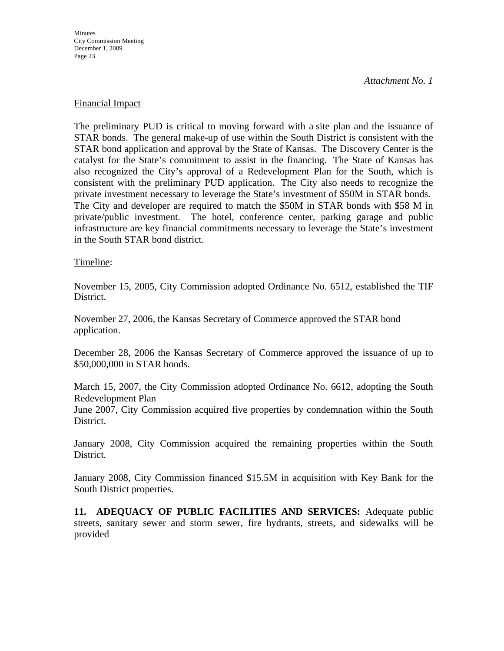*Attachment No. 1* 

#### Financial Impact

The preliminary PUD is critical to moving forward with a site plan and the issuance of STAR bonds. The general make-up of use within the South District is consistent with the STAR bond application and approval by the State of Kansas. The Discovery Center is the catalyst for the State's commitment to assist in the financing. The State of Kansas has also recognized the City's approval of a Redevelopment Plan for the South, which is consistent with the preliminary PUD application. The City also needs to recognize the private investment necessary to leverage the State's investment of \$50M in STAR bonds. The City and developer are required to match the \$50M in STAR bonds with \$58 M in private/public investment. The hotel, conference center, parking garage and public infrastructure are key financial commitments necessary to leverage the State's investment in the South STAR bond district.

#### Timeline:

November 15, 2005, City Commission adopted Ordinance No. 6512, established the TIF District.

November 27, 2006, the Kansas Secretary of Commerce approved the STAR bond application.

December 28, 2006 the Kansas Secretary of Commerce approved the issuance of up to \$50,000,000 in STAR bonds.

March 15, 2007, the City Commission adopted Ordinance No. 6612, adopting the South Redevelopment Plan

June 2007, City Commission acquired five properties by condemnation within the South District.

January 2008, City Commission acquired the remaining properties within the South District.

January 2008, City Commission financed \$15.5M in acquisition with Key Bank for the South District properties.

**11. ADEQUACY OF PUBLIC FACILITIES AND SERVICES:** Adequate public streets, sanitary sewer and storm sewer, fire hydrants, streets, and sidewalks will be provided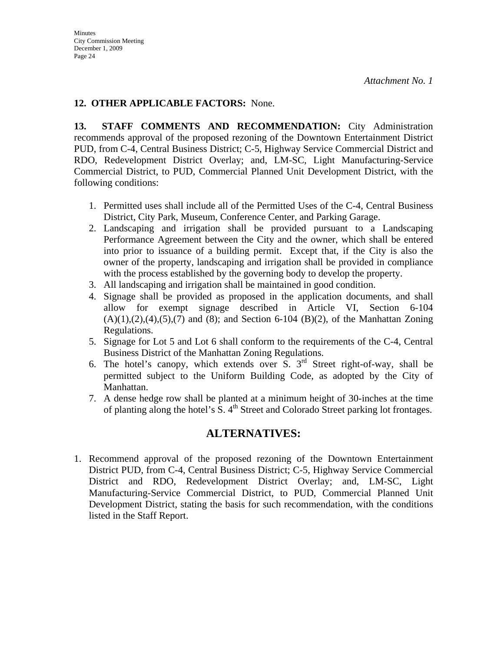#### **12. OTHER APPLICABLE FACTORS:** None.

**13. STAFF COMMENTS AND RECOMMENDATION:** City Administration recommends approval of the proposed rezoning of the Downtown Entertainment District PUD, from C-4, Central Business District; C-5, Highway Service Commercial District and RDO, Redevelopment District Overlay; and, LM-SC, Light Manufacturing-Service Commercial District, to PUD, Commercial Planned Unit Development District, with the following conditions:

- 1. Permitted uses shall include all of the Permitted Uses of the C-4, Central Business District, City Park, Museum, Conference Center, and Parking Garage.
- 2. Landscaping and irrigation shall be provided pursuant to a Landscaping Performance Agreement between the City and the owner, which shall be entered into prior to issuance of a building permit. Except that, if the City is also the owner of the property, landscaping and irrigation shall be provided in compliance with the process established by the governing body to develop the property.
- 3. All landscaping and irrigation shall be maintained in good condition.
- 4. Signage shall be provided as proposed in the application documents, and shall allow for exempt signage described in Article VI, Section 6-104  $(A)(1), (2), (4), (5), (7)$  and (8); and Section 6-104 (B)(2), of the Manhattan Zoning Regulations.
- 5. Signage for Lot 5 and Lot 6 shall conform to the requirements of the C-4, Central Business District of the Manhattan Zoning Regulations.
- 6. The hotel's canopy, which extends over  $\overline{S}$ . 3<sup>rd</sup> Street right-of-way, shall be permitted subject to the Uniform Building Code, as adopted by the City of Manhattan.
- 7. A dense hedge row shall be planted at a minimum height of 30-inches at the time of planting along the hotel's  $\overline{S}$ .  $4^{\text{th}}$  Street and Colorado Street parking lot frontages.

### **ALTERNATIVES:**

1. Recommend approval of the proposed rezoning of the Downtown Entertainment District PUD, from C-4, Central Business District; C-5, Highway Service Commercial District and RDO, Redevelopment District Overlay; and, LM-SC, Light Manufacturing-Service Commercial District, to PUD, Commercial Planned Unit Development District, stating the basis for such recommendation, with the conditions listed in the Staff Report.